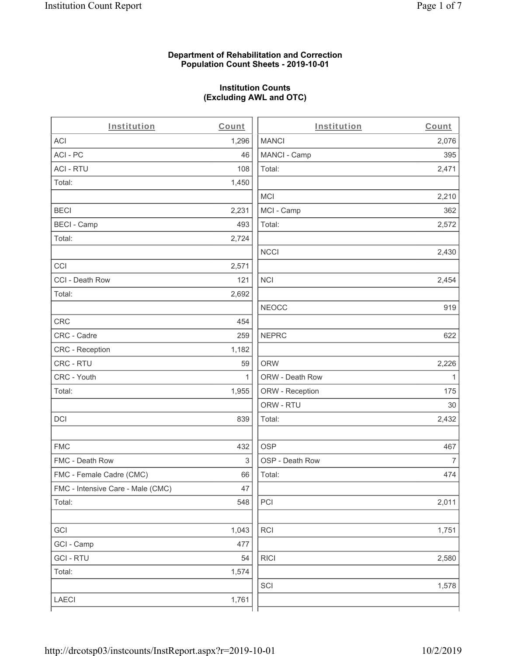### **Department of Rehabilitation and Correction Population Count Sheets - 2019-10-01**

# **Institution Counts (Excluding AWL and OTC)**

. .

| Institution                       | Count        | Institution     | Count        |
|-----------------------------------|--------------|-----------------|--------------|
| ACI                               | 1,296        | <b>MANCI</b>    | 2,076        |
| ACI - PC                          | 46           | MANCI - Camp    | 395          |
| <b>ACI - RTU</b>                  | 108          | Total:          | 2,471        |
| Total:                            | 1,450        |                 |              |
|                                   |              | <b>MCI</b>      | 2,210        |
| <b>BECI</b>                       | 2,231        | MCI - Camp      | 362          |
| <b>BECI - Camp</b>                | 493          | Total:          | 2,572        |
| Total:                            | 2,724        |                 |              |
|                                   |              | <b>NCCI</b>     | 2,430        |
| CCI                               | 2,571        |                 |              |
| CCI - Death Row                   | 121          | <b>NCI</b>      | 2,454        |
| Total:                            | 2,692        |                 |              |
|                                   |              | <b>NEOCC</b>    | 919          |
| CRC                               | 454          |                 |              |
| CRC - Cadre                       | 259          | <b>NEPRC</b>    | 622          |
| CRC - Reception                   | 1,182        |                 |              |
| CRC - RTU                         | 59           | <b>ORW</b>      | 2,226        |
| CRC - Youth                       | $\mathbf{1}$ | ORW - Death Row | $\mathbf{1}$ |
| Total:                            | 1,955        | ORW - Reception | 175          |
|                                   |              | ORW - RTU       | 30           |
| DCI                               | 839          | Total:          | 2,432        |
| <b>FMC</b>                        | 432          | <b>OSP</b>      | 467          |
| FMC - Death Row                   | 3            | OSP - Death Row | 7            |
| FMC - Female Cadre (CMC)          | 66           | Total:          | 474          |
| FMC - Intensive Care - Male (CMC) | 47           |                 |              |
| Total:                            | 548          | PCI             | 2,011        |
| GCI                               | 1,043        | <b>RCI</b>      | 1,751        |
| GCI - Camp                        | 477          |                 |              |
| <b>GCI - RTU</b>                  | 54           | <b>RICI</b>     | 2,580        |
| Total:                            | 1,574        |                 |              |
|                                   |              | SCI             | 1,578        |
| LAECI                             | 1,761        |                 |              |
|                                   |              |                 |              |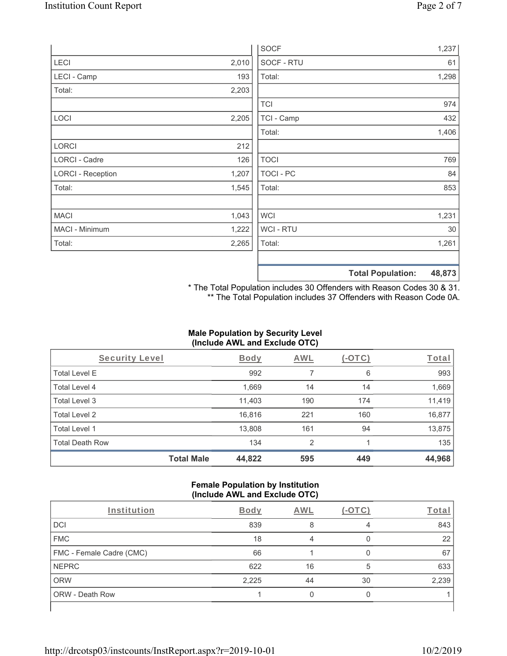|                          |       |                | <b>Total Population:</b><br>48,873 |
|--------------------------|-------|----------------|------------------------------------|
|                          |       |                |                                    |
| Total:                   | 2,265 | Total:         | 1,261                              |
| MACI - Minimum           | 1,222 | <b>WCI-RTU</b> | 30                                 |
| <b>MACI</b>              | 1,043 | <b>WCI</b>     | 1,231                              |
|                          |       |                |                                    |
| Total:                   | 1,545 | Total:         | 853                                |
| <b>LORCI - Reception</b> | 1,207 | TOCI - PC      | 84                                 |
| LORCI - Cadre            | 126   | <b>TOCI</b>    | 769                                |
| LORCI                    | 212   |                |                                    |
|                          |       | Total:         | 1,406                              |
| <b>LOCI</b>              | 2,205 | TCI - Camp     | 432                                |
|                          |       | <b>TCI</b>     | 974                                |
| Total:                   | 2,203 |                |                                    |
| LECI - Camp              | 193   | Total:         | 1,298                              |
| LECI                     | 2,010 | SOCF - RTU     | 61                                 |
|                          |       | <b>SOCF</b>    | 1,237                              |

\* The Total Population includes 30 Offenders with Reason Codes 30 & 31. \*\* The Total Population includes 37 Offenders with Reason Code 0A.

## **Male Population by Security Level (Include AWL and Exclude OTC)**

| Security Level         |                   | <b>Body</b> | <b>AWL</b> | $(-\text{OTC})$ | Total  |
|------------------------|-------------------|-------------|------------|-----------------|--------|
| <b>Total Level E</b>   |                   | 992         | 7          | 6               | 993    |
| Total Level 4          |                   | 1,669       | 14         | 14              | 1,669  |
| Total Level 3          |                   | 11,403      | 190        | 174             | 11,419 |
| Total Level 2          |                   | 16,816      | 221        | 160             | 16,877 |
| Total Level 1          |                   | 13,808      | 161        | 94              | 13,875 |
| <b>Total Death Row</b> |                   | 134         | 2          |                 | 135    |
|                        | <b>Total Male</b> | 44,822      | 595        | 449             | 44,968 |

#### **Female Population by Institution (Include AWL and Exclude OTC)**

| $\cdot$                  |             | $\overline{\phantom{a}}$ |        |       |
|--------------------------|-------------|--------------------------|--------|-------|
| Institution              | <b>Body</b> | AWL                      | (-OTC) | Total |
| DCI                      | 839         |                          |        | 843   |
| <b>FMC</b>               | 18          |                          |        | 22    |
| FMC - Female Cadre (CMC) | 66          |                          |        | 67    |
| <b>NEPRC</b>             | 622         | 16                       | 5      | 633   |
| <b>ORW</b>               | 2,225       | 44                       | 30     | 2,239 |
| ORW - Death Row          |             |                          |        |       |
|                          |             |                          |        |       |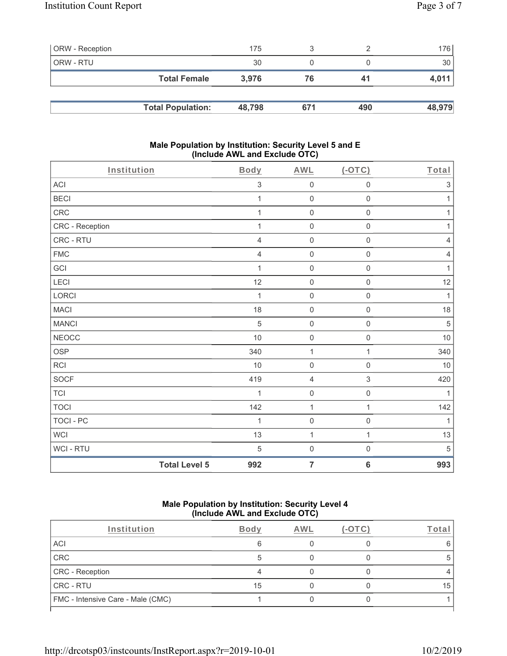| <b>ORW</b> - Reception |                          | 175    |     |     | 176    |
|------------------------|--------------------------|--------|-----|-----|--------|
| ORW - RTU              |                          | 30     |     |     | 30     |
|                        | <b>Total Female</b>      | 3,976  | 76  | 41  | 4,011  |
|                        |                          |        |     |     |        |
|                        | <b>Total Population:</b> | 48,798 | 671 | 490 | 48,979 |

#### **Male Population by Institution: Security Level 5 and E (Include AWL and Exclude OTC)**

| Institution     | Body                        | <b>AWL</b>          | (OTC)               | Total                     |
|-----------------|-----------------------------|---------------------|---------------------|---------------------------|
| ACI             | $\ensuremath{\mathsf{3}}$   | $\mathsf{O}\xspace$ | $\mathbf 0$         | $\ensuremath{\mathsf{3}}$ |
| <b>BECI</b>     | 1                           | $\boldsymbol{0}$    | $\mathbf 0$         | 1                         |
| CRC             | $\mathbf{1}$                | $\mathsf{O}\xspace$ | $\mathsf 0$         | $\mathbf{1}$              |
| CRC - Reception | $\mathbf 1$                 | $\boldsymbol{0}$    | $\mathbf 0$         | $\mathbf{1}$              |
| CRC - RTU       | $\overline{4}$              | $\boldsymbol{0}$    | $\mathsf 0$         | $\overline{4}$            |
| <b>FMC</b>      | $\sqrt{4}$                  | $\mathsf{O}\xspace$ | $\mathsf 0$         | $\overline{4}$            |
| GCI             | $\mathbf 1$                 | $\mathbf 0$         | $\mathsf{O}\xspace$ | $\mathbf{1}$              |
| LECI            | 12                          | $\mathbf 0$         | $\mathsf 0$         | 12                        |
| LORCI           | 1                           | $\boldsymbol{0}$    | $\mathsf 0$         | $\mathbf{1}$              |
| <b>MACI</b>     | 18                          | $\mathsf{O}$        | $\mathsf{O}\xspace$ | 18                        |
| <b>MANCI</b>    | 5                           | $\boldsymbol{0}$    | $\mathsf{O}\xspace$ | 5                         |
| <b>NEOCC</b>    | 10                          | $\mathbf 0$         | $\mathsf 0$         | $10$                      |
| OSP             | 340                         | $\mathbf 1$         | $\mathbf{1}$        | 340                       |
| RCI             | 10                          | $\boldsymbol{0}$    | $\mathsf 0$         | 10                        |
| SOCF            | 419                         | 4                   | 3                   | 420                       |
| <b>TCI</b>      | $\mathbf 1$                 | $\mathbf 0$         | $\mathbf 0$         | $\mathbf{1}$              |
| <b>TOCI</b>     | 142                         | $\mathbf 1$         | 1                   | 142                       |
| TOCI - PC       | 1                           | $\mathbf 0$         | $\mathsf{O}\xspace$ | $\mathbf{1}$              |
| <b>WCI</b>      | 13                          | $\mathbf 1$         | $\mathbf{1}$        | 13                        |
| WCI - RTU       | 5                           | $\boldsymbol{0}$    | $\mathsf 0$         | $\mathbf 5$               |
|                 | <b>Total Level 5</b><br>992 | $\overline{7}$      | $6\phantom{1}6$     | 993                       |

#### **Male Population by Institution: Security Level 4 (Include AWL and Exclude OTC)**

| Institution                       | Body | AWL | 'o <u>t</u> ar |
|-----------------------------------|------|-----|----------------|
| ACI                               | 6    |     |                |
| CRC                               |      |     |                |
| CRC - Reception                   |      |     |                |
| CRC - RTU                         | 15   |     | 15             |
| FMC - Intensive Care - Male (CMC) |      |     |                |
|                                   |      |     |                |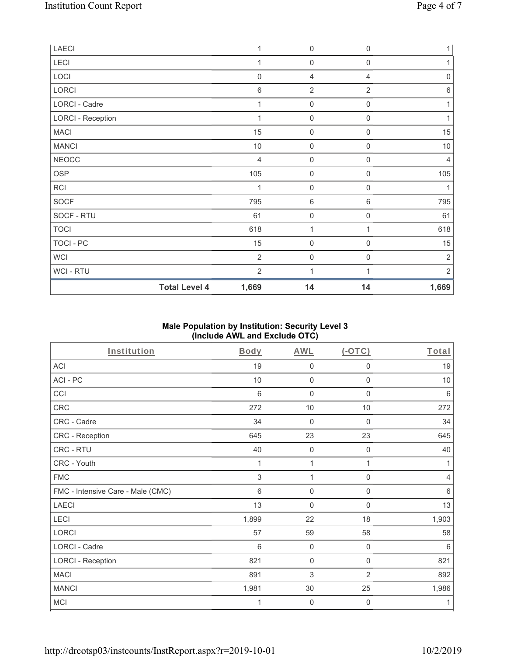| LAECI                    | 1                             | $\boldsymbol{0}$    | $\mathbf 0$         | $\mathbf{1}$        |
|--------------------------|-------------------------------|---------------------|---------------------|---------------------|
| LECI                     | 1                             | $\mathsf{O}\xspace$ | $\mathbf 0$         | 1                   |
| LOCI                     | $\mathbf 0$                   | 4                   | 4                   | $\mathsf{O}\xspace$ |
| LORCI                    | $\,6$                         | $\overline{2}$      | $\overline{2}$      | $\,6$               |
| <b>LORCI - Cadre</b>     | 1                             | $\mathbf 0$         | $\mathbf 0$         |                     |
| <b>LORCI - Reception</b> | $\mathbf 1$                   | $\mathbf 0$         | $\mathsf{O}\xspace$ |                     |
| <b>MACI</b>              | 15                            | $\mathbf 0$         | $\mathbf 0$         | 15                  |
| <b>MANCI</b>             | $10$                          | $\boldsymbol{0}$    | $\mathbf 0$         | $10$                |
| <b>NEOCC</b>             | $\overline{4}$                | $\boldsymbol{0}$    | $\mathbf 0$         | 4                   |
| OSP                      | 105                           | 0                   | $\mathbf 0$         | 105                 |
| RCI                      | 1                             | $\boldsymbol{0}$    | $\mathbf 0$         | 1                   |
| <b>SOCF</b>              | 795                           | 6                   | $6\,$               | 795                 |
| SOCF - RTU               | 61                            | $\mathsf{O}\xspace$ | $\mathbf 0$         | 61                  |
| <b>TOCI</b>              | 618                           | 1                   | 1                   | 618                 |
| TOCI - PC                | 15                            | $\mathsf{O}\xspace$ | $\mathbf 0$         | 15                  |
| WCI                      | $\overline{2}$                | $\mathsf{O}\xspace$ | $\mathbf 0$         | $\sqrt{2}$          |
| WCI - RTU                | $\overline{2}$                | 1                   |                     | $\overline{2}$      |
|                          | <b>Total Level 4</b><br>1,669 | 14                  | 14                  | 1,669               |

## **Male Population by Institution: Security Level 3 (Include AWL and Exclude OTC)**

| Institution                       | <b>Body</b>    | <b>AWL</b>       | $(-OTC)$         | Total   |
|-----------------------------------|----------------|------------------|------------------|---------|
| <b>ACI</b>                        | 19             | $\mathbf 0$      | 0                | 19      |
| ACI-PC                            | 10             | 0                | 0                | $10$    |
| CCI                               | 6              | $\mathbf 0$      | $\mathbf 0$      | 6       |
| CRC                               | 272            | 10               | 10               | 272     |
| CRC - Cadre                       | 34             | $\mathbf 0$      | $\mathbf 0$      | 34      |
| CRC - Reception                   | 645            | 23               | 23               | 645     |
| CRC - RTU                         | 40             | $\mathbf 0$      | $\mathbf 0$      | 40      |
| CRC - Youth                       | 1              | 1                | 1                | 1       |
| <b>FMC</b>                        | $\mathfrak{Z}$ | 1                | $\mathbf 0$      | 4       |
| FMC - Intensive Care - Male (CMC) | 6              | 0                | $\mathbf 0$      | $\,6\,$ |
| <b>LAECI</b>                      | 13             | 0                | $\boldsymbol{0}$ | 13      |
| LECI                              | 1,899          | 22               | 18               | 1,903   |
| <b>LORCI</b>                      | 57             | 59               | 58               | 58      |
| LORCI - Cadre                     | 6              | $\boldsymbol{0}$ | 0                | 6       |
| <b>LORCI - Reception</b>          | 821            | 0                | 0                | 821     |
| <b>MACI</b>                       | 891            | 3                | $\overline{2}$   | 892     |
| <b>MANCI</b>                      | 1,981          | $30\,$           | 25               | 1,986   |
| <b>MCI</b>                        | 1              | 0                | 0                | 1       |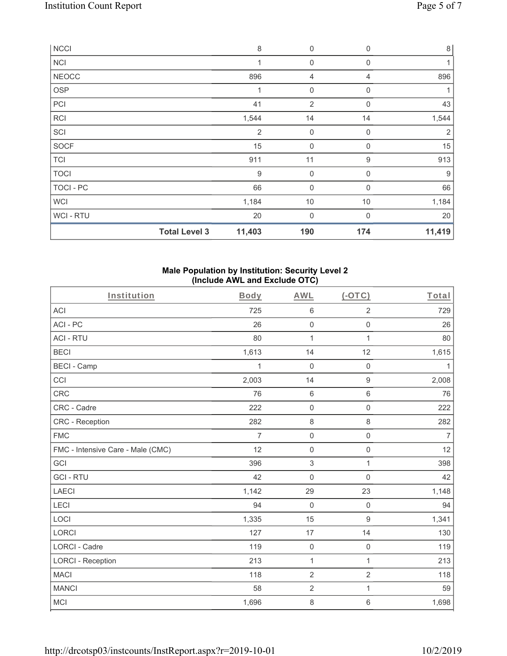| <b>NCCI</b>  |                      | $\,8\,$          | $\boldsymbol{0}$    | $\mathbf 0$      | $\,8\,$ |
|--------------|----------------------|------------------|---------------------|------------------|---------|
| <b>NCI</b>   |                      | 1                | 0                   | $\mathbf 0$      |         |
| <b>NEOCC</b> |                      | 896              | 4                   | 4                | 896     |
| <b>OSP</b>   |                      |                  | 0                   | $\mathbf 0$      |         |
| PCI          |                      | 41               | $\overline{2}$      | $\mathbf 0$      | 43      |
| RCI          |                      | 1,544            | 14                  | 14               | 1,544   |
| SCI          |                      | $\overline{2}$   | $\boldsymbol{0}$    | 0                | 2       |
| <b>SOCF</b>  |                      | 15               | $\boldsymbol{0}$    | $\mathbf 0$      | 15      |
| <b>TCI</b>   |                      | 911              | 11                  | $\boldsymbol{9}$ | 913     |
| <b>TOCI</b>  |                      | $\boldsymbol{9}$ | $\mathsf{O}\xspace$ | $\mathbf 0$      | 9       |
| TOCI - PC    |                      | 66               | $\boldsymbol{0}$    | $\Omega$         | 66      |
| <b>WCI</b>   |                      | 1,184            | 10                  | 10               | 1,184   |
| WCI-RTU      |                      | 20               | 0                   | $\mathbf 0$      | 20      |
|              | <b>Total Level 3</b> | 11,403           | 190                 | 174              | 11,419  |

#### **Male Population by Institution: Security Level 2 (Include AWL and Exclude OTC)**

| Institution                       | Body           | <b>AWL</b>          | $(-OTC)$            | Total          |
|-----------------------------------|----------------|---------------------|---------------------|----------------|
| <b>ACI</b>                        | 725            | 6                   | $\overline{2}$      | 729            |
| ACI-PC                            | 26             | $\mathbf 0$         | $\mathbf 0$         | 26             |
| <b>ACI - RTU</b>                  | 80             | $\mathbf{1}$        | $\mathbf{1}$        | 80             |
| <b>BECI</b>                       | 1,613          | 14                  | 12                  | 1,615          |
| <b>BECI - Camp</b>                | 1              | $\mathbf 0$         | $\mathbf 0$         | 1              |
| CCI                               | 2,003          | 14                  | $\boldsymbol{9}$    | 2,008          |
| <b>CRC</b>                        | 76             | $6\phantom{1}6$     | $6\phantom{1}$      | 76             |
| CRC - Cadre                       | 222            | $\mathbf 0$         | $\mathbf 0$         | 222            |
| CRC - Reception                   | 282            | $\,8\,$             | $\,8\,$             | 282            |
| <b>FMC</b>                        | $\overline{7}$ | $\mathsf{O}\xspace$ | $\mathbf 0$         | $\overline{7}$ |
| FMC - Intensive Care - Male (CMC) | 12             | $\mathbf 0$         | $\mathsf{O}\xspace$ | 12             |
| GCI                               | 396            | 3                   | 1                   | 398            |
| <b>GCI-RTU</b>                    | 42             | $\mathbf 0$         | $\mathbf 0$         | 42             |
| <b>LAECI</b>                      | 1,142          | 29                  | 23                  | 1,148          |
| <b>LECI</b>                       | 94             | $\mathbf 0$         | $\mathsf 0$         | 94             |
| LOCI                              | 1,335          | 15                  | $\boldsymbol{9}$    | 1,341          |
| <b>LORCI</b>                      | 127            | 17                  | 14                  | 130            |
| <b>LORCI - Cadre</b>              | 119            | $\mathbf 0$         | $\mathbf 0$         | 119            |
| <b>LORCI - Reception</b>          | 213            | $\mathbf 1$         | $\mathbf{1}$        | 213            |
| <b>MACI</b>                       | 118            | $\overline{2}$      | $\overline{2}$      | 118            |
| <b>MANCI</b>                      | 58             | $\overline{2}$      | $\mathbf{1}$        | 59             |
| <b>MCI</b>                        | 1,696          | $\,8\,$             | $\,6\,$             | 1,698          |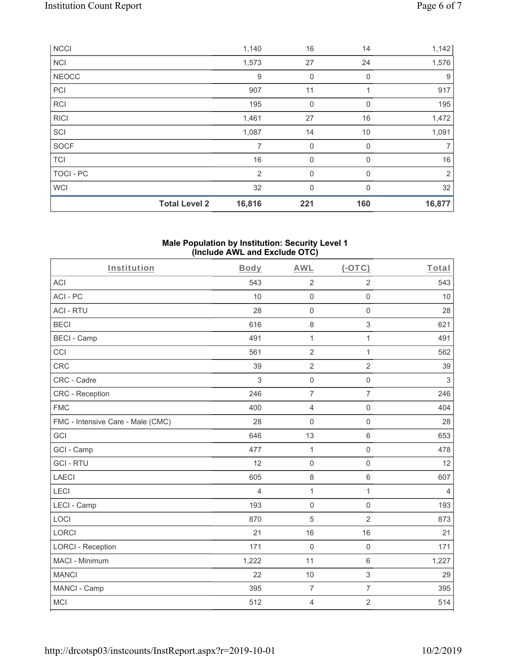|                  | <b>Total Level 2</b> | 16,816         | 221          | 160      | 16,877         |
|------------------|----------------------|----------------|--------------|----------|----------------|
| <b>WCI</b>       |                      | 32             | $\mathbf{0}$ | $\Omega$ | 32             |
| <b>TOCI - PC</b> |                      | 2              | $\mathbf 0$  | 0        | $\overline{2}$ |
| <b>TCI</b>       |                      | 16             | $\mathbf 0$  | 0        | 16             |
| SOCF             |                      | $\overline{7}$ | $\mathbf 0$  | $\Omega$ | $\overline{7}$ |
| SCI              |                      | 1,087          | 14           | 10       | 1,091          |
| <b>RICI</b>      |                      | 1,461          | 27           | 16       | 1,472          |
| <b>RCI</b>       |                      | 195            | $\mathbf 0$  | $\Omega$ | 195            |
| PC               |                      | 907            | 11           |          | 917            |
| NEOCC            |                      | 9              | $\mathbf 0$  | 0        | 9              |
| <b>NCI</b>       |                      | 1,573          | 27           | 24       | 1,576          |
| <b>NCCI</b>      |                      | 1,140          | 16           | 14       | 1,142          |

#### **Male Population by Institution: Security Level 1 (Include AWL and Exclude OTC)**

| Institution                       | Body           | <b>AWL</b>     | $(-OTC)$            | Total          |
|-----------------------------------|----------------|----------------|---------------------|----------------|
| <b>ACI</b>                        | 543            | $\overline{2}$ | $\overline{2}$      | 543            |
| ACI-PC                            | 10             | $\mathbf 0$    | $\mathsf 0$         | 10             |
| <b>ACI - RTU</b>                  | 28             | 0              | $\mathbf 0$         | 28             |
| <b>BECI</b>                       | 616            | 8              | 3                   | 621            |
| <b>BECI - Camp</b>                | 491            | $\mathbf{1}$   | 1                   | 491            |
| CCI                               | 561            | $\overline{2}$ | $\mathbf{1}$        | 562            |
| <b>CRC</b>                        | 39             | $\sqrt{2}$     | $\overline{2}$      | 39             |
| CRC - Cadre                       | 3              | $\mathbf 0$    | $\mathsf{O}\xspace$ | $\sqrt{3}$     |
| <b>CRC</b> - Reception            | 246            | $\overline{7}$ | $\overline{7}$      | 246            |
| <b>FMC</b>                        | 400            | $\overline{4}$ | $\mathbf 0$         | 404            |
| FMC - Intensive Care - Male (CMC) | 28             | $\mathbf 0$    | $\mathsf{O}\xspace$ | 28             |
| GCI                               | 646            | 13             | 6                   | 653            |
| GCI - Camp                        | 477            | $\mathbf{1}$   | $\mathbf 0$         | 478            |
| <b>GCI-RTU</b>                    | 12             | $\mathbf 0$    | $\mathbf 0$         | 12             |
| <b>LAECI</b>                      | 605            | $\,8\,$        | 6                   | 607            |
| <b>LECI</b>                       | $\overline{4}$ | $\mathbf 1$    | $\mathbf{1}$        | $\overline{4}$ |
| LECI - Camp                       | 193            | $\mathbf 0$    | $\mathsf{O}\xspace$ | 193            |
| LOCI                              | 870            | 5              | $\overline{2}$      | 873            |
| <b>LORCI</b>                      | 21             | 16             | 16                  | 21             |
| <b>LORCI - Reception</b>          | 171            | $\mathbf 0$    | $\mathbf 0$         | 171            |
| MACI - Minimum                    | 1,222          | 11             | 6                   | 1,227          |
| <b>MANCI</b>                      | 22             | 10             | 3                   | 29             |
| MANCI - Camp                      | 395            | $\overline{7}$ | $\overline{7}$      | 395            |
| <b>MCI</b>                        | 512            | $\overline{4}$ | $\overline{2}$      | 514            |